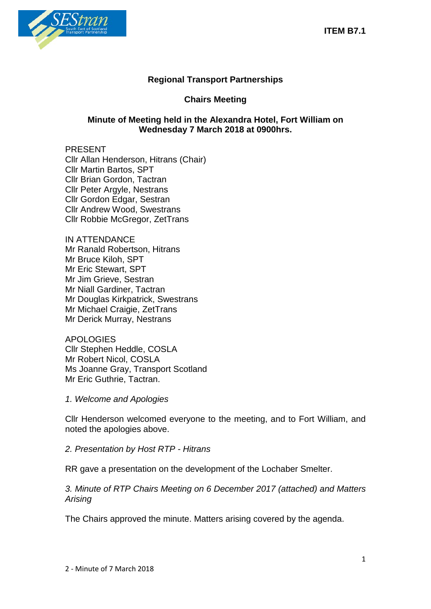

# **Regional Transport Partnerships**

# **Chairs Meeting**

# **Minute of Meeting held in the Alexandra Hotel, Fort William on Wednesday 7 March 2018 at 0900hrs.**

#### PRESENT Cllr Allan Henderson, Hitrans (Chair) Cllr Martin Bartos, SPT Cllr Brian Gordon, Tactran Cllr Peter Argyle, Nestrans Cllr Gordon Edgar, Sestran Cllr Andrew Wood, Swestrans Cllr Robbie McGregor, ZetTrans

IN ATTENDANCE Mr Ranald Robertson, Hitrans Mr Bruce Kiloh, SPT Mr Eric Stewart, SPT Mr Jim Grieve, Sestran Mr Niall Gardiner, Tactran Mr Douglas Kirkpatrick, Swestrans Mr Michael Craigie, ZetTrans Mr Derick Murray, Nestrans

APOLOGIES Cllr Stephen Heddle, COSLA Mr Robert Nicol, COSLA Ms Joanne Gray, Transport Scotland Mr Eric Guthrie, Tactran.

*1. Welcome and Apologies*

Cllr Henderson welcomed everyone to the meeting, and to Fort William, and noted the apologies above.

*2. Presentation by Host RTP - Hitrans*

RR gave a presentation on the development of the Lochaber Smelter.

*3. Minute of RTP Chairs Meeting on 6 December 2017 (attached) and Matters Arising*

The Chairs approved the minute. Matters arising covered by the agenda.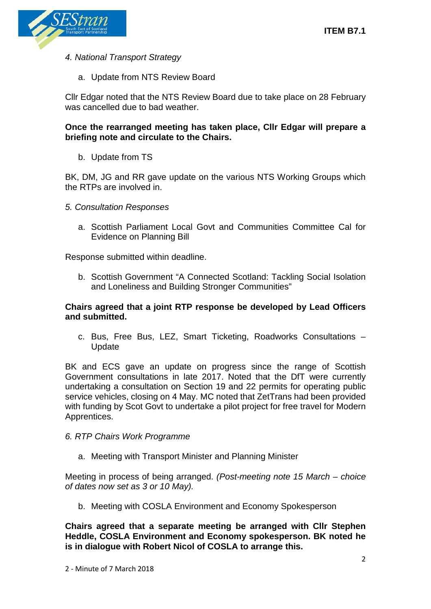

*4. National Transport Strategy* 

a. Update from NTS Review Board

Cllr Edgar noted that the NTS Review Board due to take place on 28 February was cancelled due to bad weather.

## **Once the rearranged meeting has taken place, Cllr Edgar will prepare a briefing note and circulate to the Chairs.**

b. Update from TS

BK, DM, JG and RR gave update on the various NTS Working Groups which the RTPs are involved in.

- *5. Consultation Responses*
	- a. Scottish Parliament Local Govt and Communities Committee Cal for Evidence on Planning Bill

Response submitted within deadline.

b. Scottish Government "A Connected Scotland: Tackling Social Isolation and Loneliness and Building Stronger Communities"

## **Chairs agreed that a joint RTP response be developed by Lead Officers and submitted.**

c. Bus, Free Bus, LEZ, Smart Ticketing, Roadworks Consultations – Update

BK and ECS gave an update on progress since the range of Scottish Government consultations in late 2017. Noted that the DfT were currently undertaking a consultation on Section 19 and 22 permits for operating public service vehicles, closing on 4 May. MC noted that ZetTrans had been provided with funding by Scot Govt to undertake a pilot project for free travel for Modern Apprentices.

- *6. RTP Chairs Work Programme*
	- a. Meeting with Transport Minister and Planning Minister

Meeting in process of being arranged. *(Post-meeting note 15 March – choice of dates now set as 3 or 10 May).* 

b. Meeting with COSLA Environment and Economy Spokesperson

**Chairs agreed that a separate meeting be arranged with Cllr Stephen Heddle, COSLA Environment and Economy spokesperson. BK noted he is in dialogue with Robert Nicol of COSLA to arrange this.**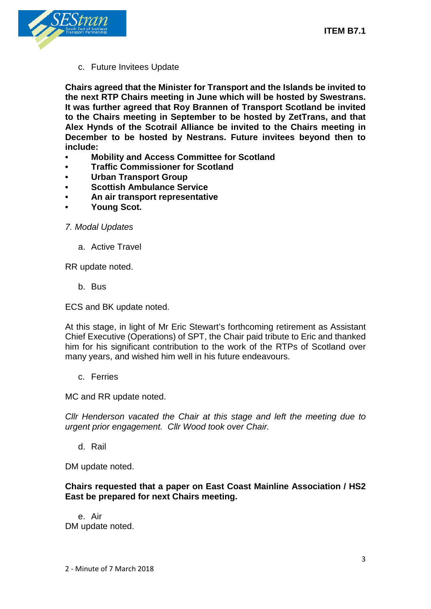

c. Future Invitees Update

**Chairs agreed that the Minister for Transport and the Islands be invited to the next RTP Chairs meeting in June which will be hosted by Swestrans. It was further agreed that Roy Brannen of Transport Scotland be invited to the Chairs meeting in September to be hosted by ZetTrans, and that Alex Hynds of the Scotrail Alliance be invited to the Chairs meeting in December to be hosted by Nestrans. Future invitees beyond then to include:** 

- **• Mobility and Access Committee for Scotland**
- **• Traffic Commissioner for Scotland**
- **• Urban Transport Group**
- **• Scottish Ambulance Service**
- **• An air transport representative**
- **• Young Scot.**

#### *7. Modal Updates*

a. Active Travel

RR update noted.

b. Bus

ECS and BK update noted.

At this stage, in light of Mr Eric Stewart's forthcoming retirement as Assistant Chief Executive (Operations) of SPT, the Chair paid tribute to Eric and thanked him for his significant contribution to the work of the RTPs of Scotland over many years, and wished him well in his future endeavours.

c. Ferries

MC and RR update noted.

*Cllr Henderson vacated the Chair at this stage and left the meeting due to urgent prior engagement. Cllr Wood took over Chair.* 

d. Rail

DM update noted.

#### **Chairs requested that a paper on East Coast Mainline Association / HS2 East be prepared for next Chairs meeting.**

e. Air DM update noted.